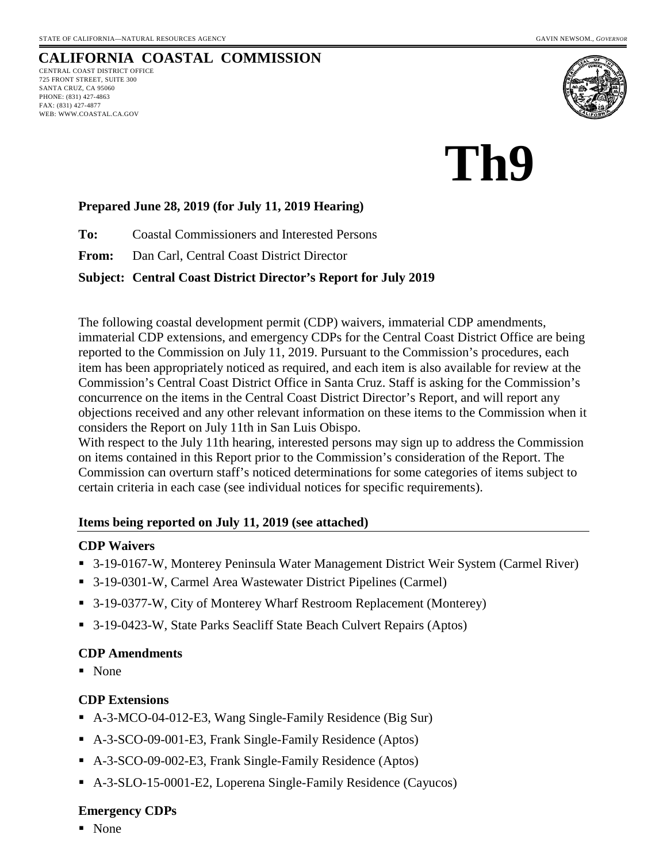

# **Th9**

## **Prepared June 28, 2019 (for July 11, 2019 Hearing)**

**To:** Coastal Commissioners and Interested Persons

**From:** Dan Carl, Central Coast District Director

## **Subject: Central Coast District Director's Report for July 2019**

The following coastal development permit (CDP) waivers, immaterial CDP amendments, immaterial CDP extensions, and emergency CDPs for the Central Coast District Office are being reported to the Commission on July 11, 2019. Pursuant to the Commission's procedures, each item has been appropriately noticed as required, and each item is also available for review at the Commission's Central Coast District Office in Santa Cruz. Staff is asking for the Commission's concurrence on the items in the Central Coast District Director's Report, and will report any objections received and any other relevant information on these items to the Commission when it considers the Report on July 11th in San Luis Obispo.

With respect to the July 11th hearing, interested persons may sign up to address the Commission on items contained in this Report prior to the Commission's consideration of the Report. The Commission can overturn staff's noticed determinations for some categories of items subject to certain criteria in each case (see individual notices for specific requirements).

## **Items being reported on July 11, 2019 (see attached)**

## **CDP Waivers**

- 3-19-0167-W, Monterey Peninsula Water Management District Weir System (Carmel River)
- 3-19-0301-W, Carmel Area Wastewater District Pipelines (Carmel)
- 3-19-0377-W, City of Monterey Wharf Restroom Replacement (Monterey)
- 3-19-0423-W, State Parks Seacliff State Beach Culvert Repairs (Aptos)

## **CDP Amendments**

None

## **CDP Extensions**

- A-3-MCO-04-012-E3, Wang Single-Family Residence (Big Sur)
- A-3-SCO-09-001-E3, Frank Single-Family Residence (Aptos)
- A-3-SCO-09-002-E3, Frank Single-Family Residence (Aptos)
- A-3-SLO-15-0001-E2, Loperena Single-Family Residence (Cayucos)

## **Emergency CDPs**

• None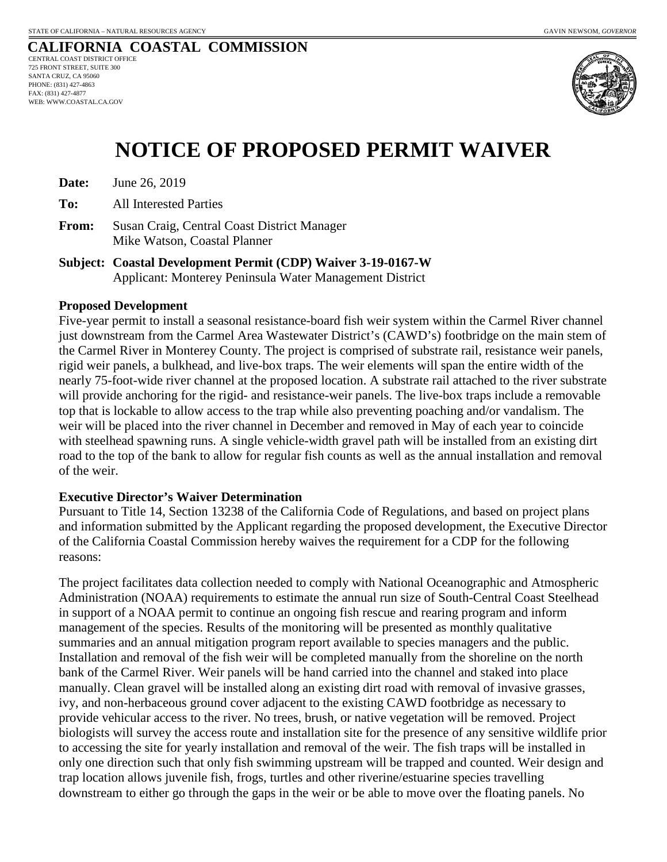

## **NOTICE OF PROPOSED PERMIT WAIVER**

**Date:** June 26, 2019

**To:** All Interested Parties

- **From:** Susan Craig, Central Coast District Manager Mike Watson, Coastal Planner
- **Subject: Coastal Development Permit (CDP) Waiver 3-19-0167-W**  Applicant: Monterey Peninsula Water Management District

### **Proposed Development**

Five-year permit to install a seasonal resistance-board fish weir system within the Carmel River channel just downstream from the Carmel Area Wastewater District's (CAWD's) footbridge on the main stem of the Carmel River in Monterey County. The project is comprised of substrate rail, resistance weir panels, rigid weir panels, a bulkhead, and live-box traps. The weir elements will span the entire width of the nearly 75-foot-wide river channel at the proposed location. A substrate rail attached to the river substrate will provide anchoring for the rigid- and resistance-weir panels. The live-box traps include a removable top that is lockable to allow access to the trap while also preventing poaching and/or vandalism. The weir will be placed into the river channel in December and removed in May of each year to coincide with steelhead spawning runs. A single vehicle-width gravel path will be installed from an existing dirt road to the top of the bank to allow for regular fish counts as well as the annual installation and removal of the weir.

## **Executive Director's Waiver Determination**

Pursuant to Title 14, Section 13238 of the California Code of Regulations, and based on project plans and information submitted by the Applicant regarding the proposed development, the Executive Director of the California Coastal Commission hereby waives the requirement for a CDP for the following reasons:

The project facilitates data collection needed to comply with National Oceanographic and Atmospheric Administration (NOAA) requirements to estimate the annual run size of South-Central Coast Steelhead in support of a NOAA permit to continue an ongoing fish rescue and rearing program and inform management of the species. Results of the monitoring will be presented as monthly qualitative summaries and an annual mitigation program report available to species managers and the public. Installation and removal of the fish weir will be completed manually from the shoreline on the north bank of the Carmel River. Weir panels will be hand carried into the channel and staked into place manually. Clean gravel will be installed along an existing dirt road with removal of invasive grasses, ivy, and non-herbaceous ground cover adjacent to the existing CAWD footbridge as necessary to provide vehicular access to the river. No trees, brush, or native vegetation will be removed. Project biologists will survey the access route and installation site for the presence of any sensitive wildlife prior to accessing the site for yearly installation and removal of the weir. The fish traps will be installed in only one direction such that only fish swimming upstream will be trapped and counted. Weir design and trap location allows juvenile fish, frogs, turtles and other riverine/estuarine species travelling downstream to either go through the gaps in the weir or be able to move over the floating panels. No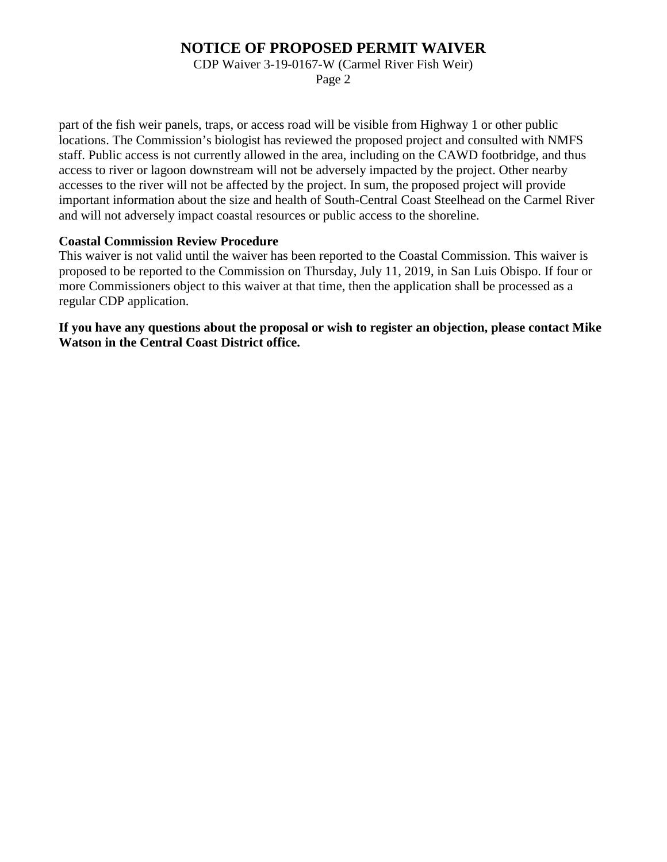## **NOTICE OF PROPOSED PERMIT WAIVER**

CDP Waiver 3-19-0167-W (Carmel River Fish Weir)

Page 2

part of the fish weir panels, traps, or access road will be visible from Highway 1 or other public locations. The Commission's biologist has reviewed the proposed project and consulted with NMFS staff. Public access is not currently allowed in the area, including on the CAWD footbridge, and thus access to river or lagoon downstream will not be adversely impacted by the project. Other nearby accesses to the river will not be affected by the project. In sum, the proposed project will provide important information about the size and health of South-Central Coast Steelhead on the Carmel River and will not adversely impact coastal resources or public access to the shoreline.

## **Coastal Commission Review Procedure**

This waiver is not valid until the waiver has been reported to the Coastal Commission. This waiver is proposed to be reported to the Commission on Thursday, July 11, 2019, in San Luis Obispo. If four or more Commissioners object to this waiver at that time, then the application shall be processed as a regular CDP application.

**If you have any questions about the proposal or wish to register an objection, please contact Mike Watson in the Central Coast District office.**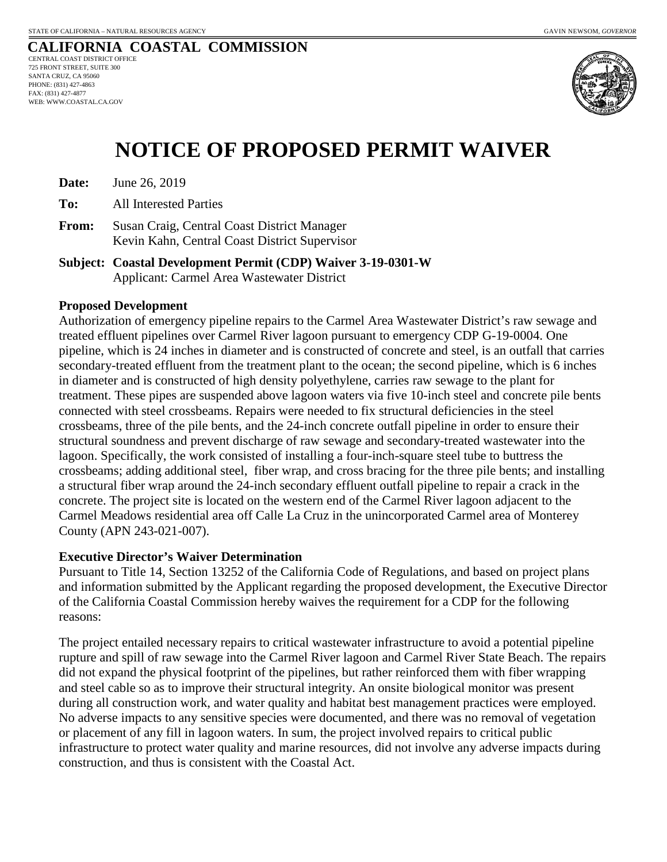

## **NOTICE OF PROPOSED PERMIT WAIVER**

**Date:** June 26, 2019

**To:** All Interested Parties

**From:** Susan Craig, Central Coast District Manager Kevin Kahn, Central Coast District Supervisor

**Subject: Coastal Development Permit (CDP) Waiver 3-19-0301-W**  Applicant: Carmel Area Wastewater District

## **Proposed Development**

Authorization of emergency pipeline repairs to the Carmel Area Wastewater District's raw sewage and treated effluent pipelines over Carmel River lagoon pursuant to emergency CDP G-19-0004. One pipeline, which is 24 inches in diameter and is constructed of concrete and steel, is an outfall that carries secondary-treated effluent from the treatment plant to the ocean; the second pipeline, which is 6 inches in diameter and is constructed of high density polyethylene, carries raw sewage to the plant for treatment. These pipes are suspended above lagoon waters via five 10-inch steel and concrete pile bents connected with steel crossbeams. Repairs were needed to fix structural deficiencies in the steel crossbeams, three of the pile bents, and the 24-inch concrete outfall pipeline in order to ensure their structural soundness and prevent discharge of raw sewage and secondary-treated wastewater into the lagoon. Specifically, the work consisted of installing a four-inch-square steel tube to buttress the crossbeams; adding additional steel, fiber wrap, and cross bracing for the three pile bents; and installing a structural fiber wrap around the 24-inch secondary effluent outfall pipeline to repair a crack in the concrete. The project site is located on the western end of the Carmel River lagoon adjacent to the Carmel Meadows residential area off Calle La Cruz in the unincorporated Carmel area of Monterey County (APN 243-021-007).

## **Executive Director's Waiver Determination**

Pursuant to Title 14, Section 13252 of the California Code of Regulations, and based on project plans and information submitted by the Applicant regarding the proposed development, the Executive Director of the California Coastal Commission hereby waives the requirement for a CDP for the following reasons:

The project entailed necessary repairs to critical wastewater infrastructure to avoid a potential pipeline rupture and spill of raw sewage into the Carmel River lagoon and Carmel River State Beach. The repairs did not expand the physical footprint of the pipelines, but rather reinforced them with fiber wrapping and steel cable so as to improve their structural integrity. An onsite biological monitor was present during all construction work, and water quality and habitat best management practices were employed. No adverse impacts to any sensitive species were documented, and there was no removal of vegetation or placement of any fill in lagoon waters. In sum, the project involved repairs to critical public infrastructure to protect water quality and marine resources, did not involve any adverse impacts during construction, and thus is consistent with the Coastal Act.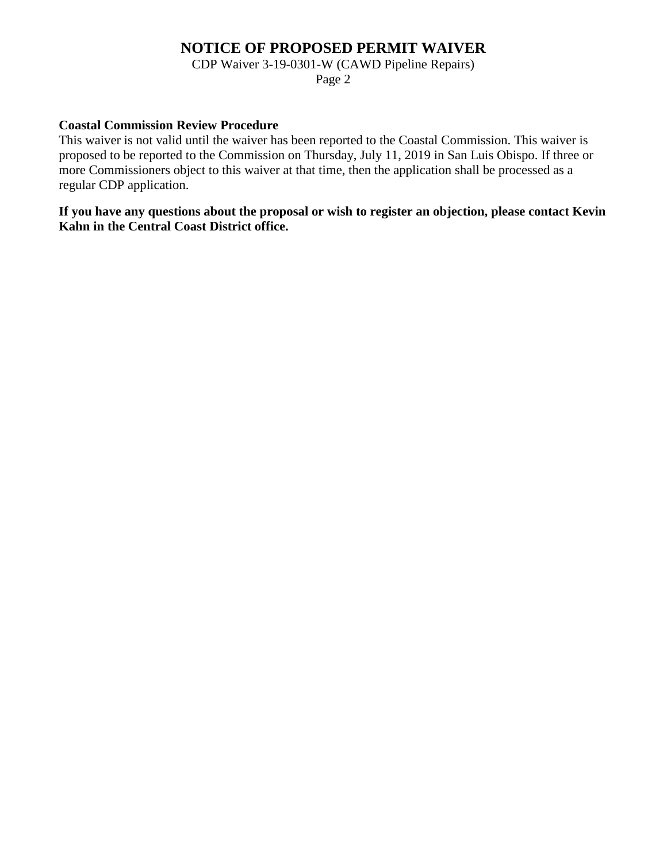## **NOTICE OF PROPOSED PERMIT WAIVER**

CDP Waiver 3-19-0301-W (CAWD Pipeline Repairs)

Page 2

## **Coastal Commission Review Procedure**

This waiver is not valid until the waiver has been reported to the Coastal Commission. This waiver is proposed to be reported to the Commission on Thursday, July 11, 2019 in San Luis Obispo. If three or more Commissioners object to this waiver at that time, then the application shall be processed as a regular CDP application.

**If you have any questions about the proposal or wish to register an objection, please contact Kevin Kahn in the Central Coast District office.**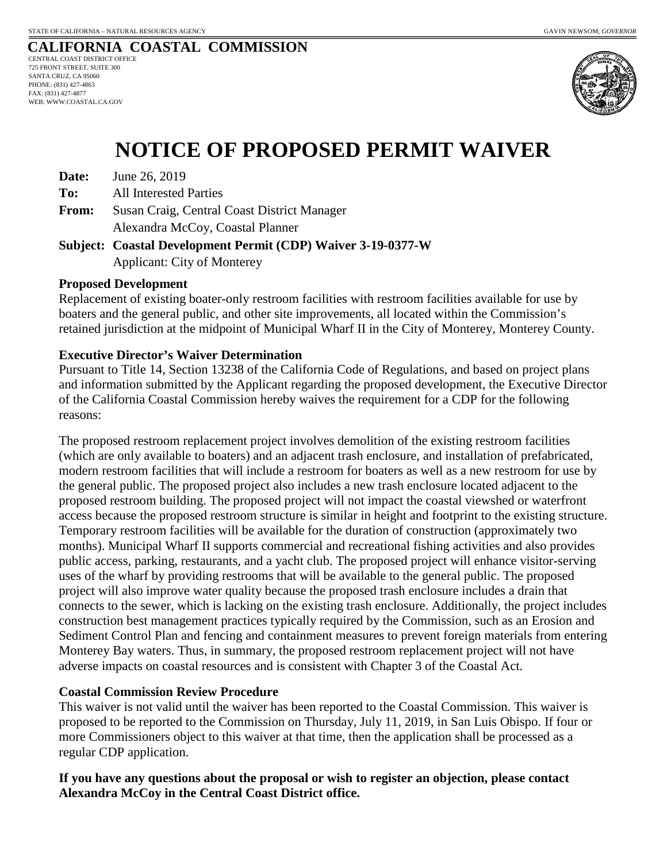### **CALIFORNIA COASTAL COMMISSION** CENTRAL COAST DISTRICT OFFICE

725 FRONT STREET, SUITE 300 SANTA CRUZ, CA 95060 PHONE: (831) 427-4863 FAX: (831) 427-4877 WEB: WWW.COASTAL.CA.GOV



## **NOTICE OF PROPOSED PERMIT WAIVER**

**Date:** June 26, 2019

**To:** All Interested Parties

**From:** Susan Craig, Central Coast District Manager Alexandra McCoy, Coastal Planner

**Subject: Coastal Development Permit (CDP) Waiver 3-19-0377-W**  Applicant: City of Monterey

## **Proposed Development**

Replacement of existing boater-only restroom facilities with restroom facilities available for use by boaters and the general public, and other site improvements, all located within the Commission's retained jurisdiction at the midpoint of Municipal Wharf II in the City of Monterey, Monterey County.

## **Executive Director's Waiver Determination**

Pursuant to Title 14, Section 13238 of the California Code of Regulations, and based on project plans and information submitted by the Applicant regarding the proposed development, the Executive Director of the California Coastal Commission hereby waives the requirement for a CDP for the following reasons:

The proposed restroom replacement project involves demolition of the existing restroom facilities (which are only available to boaters) and an adjacent trash enclosure, and installation of prefabricated, modern restroom facilities that will include a restroom for boaters as well as a new restroom for use by the general public. The proposed project also includes a new trash enclosure located adjacent to the proposed restroom building. The proposed project will not impact the coastal viewshed or waterfront access because the proposed restroom structure is similar in height and footprint to the existing structure. Temporary restroom facilities will be available for the duration of construction (approximately two months). Municipal Wharf II supports commercial and recreational fishing activities and also provides public access, parking, restaurants, and a yacht club. The proposed project will enhance visitor-serving uses of the wharf by providing restrooms that will be available to the general public. The proposed project will also improve water quality because the proposed trash enclosure includes a drain that connects to the sewer, which is lacking on the existing trash enclosure. Additionally, the project includes construction best management practices typically required by the Commission, such as an Erosion and Sediment Control Plan and fencing and containment measures to prevent foreign materials from entering Monterey Bay waters. Thus, in summary, the proposed restroom replacement project will not have adverse impacts on coastal resources and is consistent with Chapter 3 of the Coastal Act.

## **Coastal Commission Review Procedure**

This waiver is not valid until the waiver has been reported to the Coastal Commission. This waiver is proposed to be reported to the Commission on Thursday, July 11, 2019, in San Luis Obispo. If four or more Commissioners object to this waiver at that time, then the application shall be processed as a regular CDP application.

**If you have any questions about the proposal or wish to register an objection, please contact Alexandra McCoy in the Central Coast District office.**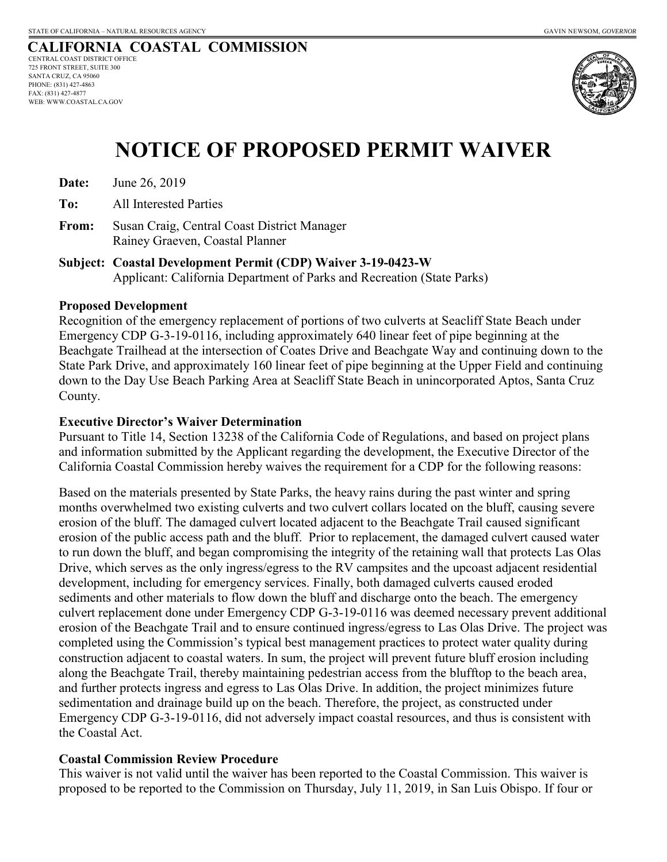

## **NOTICE OF PROPOSED PERMIT WAIVER**

**Date:** June 26, 2019

**To:** All Interested Parties

**From:** Susan Craig, Central Coast District Manager Rainey Graeven, Coastal Planner

**Subject: Coastal Development Permit (CDP) Waiver 3-19-0423-W**  Applicant: California Department of Parks and Recreation (State Parks)

## **Proposed Development**

Recognition of the emergency replacement of portions of two culverts at Seacliff State Beach under Emergency CDP G-3-19-0116, including approximately 640 linear feet of pipe beginning at the Beachgate Trailhead at the intersection of Coates Drive and Beachgate Way and continuing down to the State Park Drive, and approximately 160 linear feet of pipe beginning at the Upper Field and continuing down to the Day Use Beach Parking Area at Seacliff State Beach in unincorporated Aptos, Santa Cruz County.

## **Executive Director's Waiver Determination**

Pursuant to Title 14, Section 13238 of the California Code of Regulations, and based on project plans and information submitted by the Applicant regarding the development, the Executive Director of the California Coastal Commission hereby waives the requirement for a CDP for the following reasons:

Based on the materials presented by State Parks, the heavy rains during the past winter and spring months overwhelmed two existing culverts and two culvert collars located on the bluff, causing severe erosion of the bluff. The damaged culvert located adjacent to the Beachgate Trail caused significant erosion of the public access path and the bluff. Prior to replacement, the damaged culvert caused water to run down the bluff, and began compromising the integrity of the retaining wall that protects Las Olas Drive, which serves as the only ingress/egress to the RV campsites and the upcoast adjacent residential development, including for emergency services. Finally, both damaged culverts caused eroded sediments and other materials to flow down the bluff and discharge onto the beach. The emergency culvert replacement done under Emergency CDP G-3-19-0116 was deemed necessary prevent additional erosion of the Beachgate Trail and to ensure continued ingress/egress to Las Olas Drive. The project was completed using the Commission's typical best management practices to protect water quality during construction adjacent to coastal waters. In sum, the project will prevent future bluff erosion including along the Beachgate Trail, thereby maintaining pedestrian access from the blufftop to the beach area, and further protects ingress and egress to Las Olas Drive. In addition, the project minimizes future sedimentation and drainage build up on the beach. Therefore, the project, as constructed under Emergency CDP G-3-19-0116, did not adversely impact coastal resources, and thus is consistent with the Coastal Act.

## **Coastal Commission Review Procedure**

This waiver is not valid until the waiver has been reported to the Coastal Commission. This waiver is proposed to be reported to the Commission on Thursday, July 11, 2019, in San Luis Obispo. If four or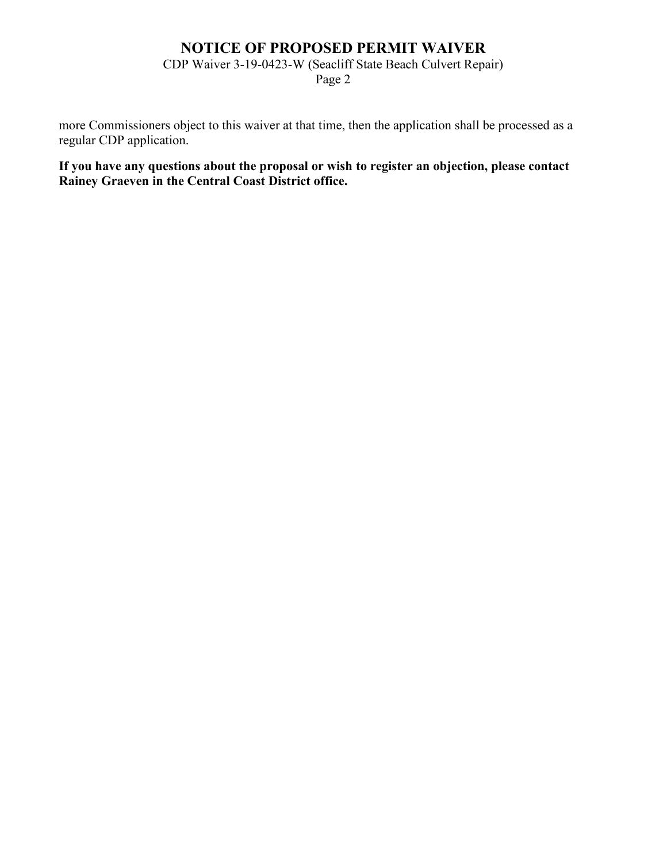## **NOTICE OF PROPOSED PERMIT WAIVER**

CDP Waiver 3-19-0423-W (Seacliff State Beach Culvert Repair)

Page 2

more Commissioners object to this waiver at that time, then the application shall be processed as a regular CDP application.

**If you have any questions about the proposal or wish to register an objection, please contact Rainey Graeven in the Central Coast District office.**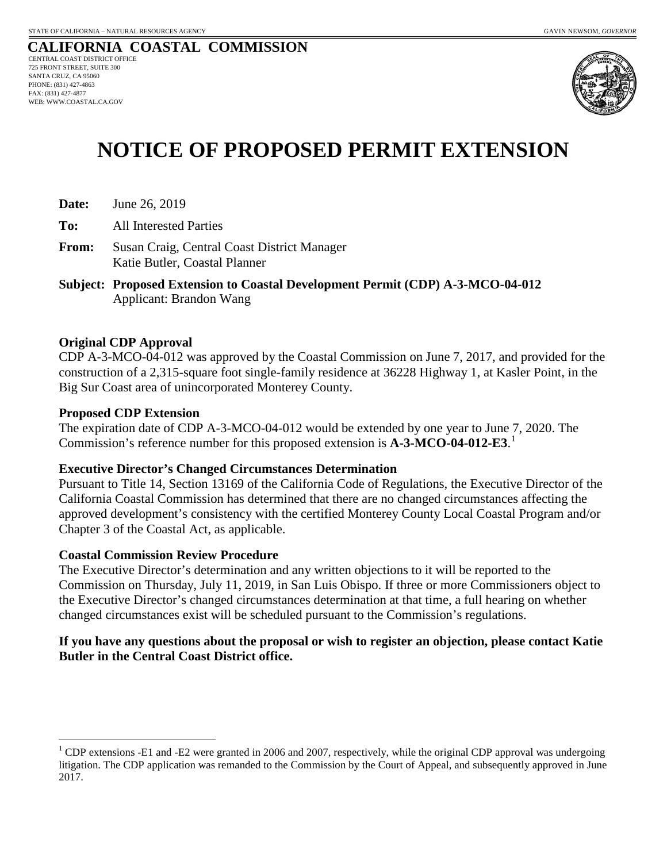

## **NOTICE OF PROPOSED PERMIT EXTENSION**

- **Date:** June 26, 2019
- **To:** All Interested Parties
- **From:** Susan Craig, Central Coast District Manager Katie Butler, Coastal Planner
- **Subject: Proposed Extension to Coastal Development Permit (CDP) A-3-MCO-04-012**  Applicant: Brandon Wang

## **Original CDP Approval**

CDP A-3-MCO-04-012 was approved by the Coastal Commission on June 7, 2017, and provided for the construction of a 2,315-square foot single-family residence at 36228 Highway 1, at Kasler Point, in the Big Sur Coast area of unincorporated Monterey County.

### **Proposed CDP Extension**

 $\overline{a}$ 

The expiration date of CDP A-3-MCO-04-012 would be extended by one year to June 7, 2020. The Commission's reference number for this proposed extension is **A-3-MCO-04-012-E3**. [1](#page-8-0)

### **Executive Director's Changed Circumstances Determination**

Pursuant to Title 14, Section 13169 of the California Code of Regulations, the Executive Director of the California Coastal Commission has determined that there are no changed circumstances affecting the approved development's consistency with the certified Monterey County Local Coastal Program and/or Chapter 3 of the Coastal Act, as applicable.

### **Coastal Commission Review Procedure**

The Executive Director's determination and any written objections to it will be reported to the Commission on Thursday, July 11, 2019, in San Luis Obispo. If three or more Commissioners object to the Executive Director's changed circumstances determination at that time, a full hearing on whether changed circumstances exist will be scheduled pursuant to the Commission's regulations.

## **If you have any questions about the proposal or wish to register an objection, please contact Katie Butler in the Central Coast District office.**

<span id="page-8-0"></span><sup>&</sup>lt;sup>1</sup> CDP extensions -E1 and -E2 were granted in 2006 and 2007, respectively, while the original CDP approval was undergoing litigation. The CDP application was remanded to the Commission by the Court of Appeal, and subsequently approved in June 2017.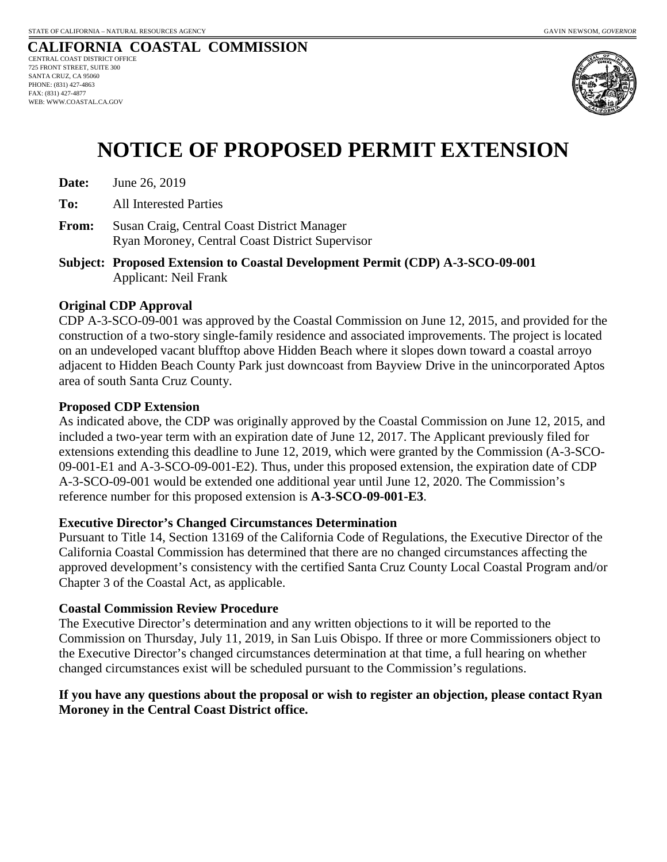

## **NOTICE OF PROPOSED PERMIT EXTENSION**

| Date: | June 26, 2019 |
|-------|---------------|
|-------|---------------|

**To:** All Interested Parties

- **From:** Susan Craig, Central Coast District Manager Ryan Moroney, Central Coast District Supervisor
- **Subject: Proposed Extension to Coastal Development Permit (CDP) A-3-SCO-09-001**  Applicant: Neil Frank

## **Original CDP Approval**

CDP A-3-SCO-09-001 was approved by the Coastal Commission on June 12, 2015, and provided for the construction of a two-story single-family residence and associated improvements. The project is located on an undeveloped vacant blufftop above Hidden Beach where it slopes down toward a coastal arroyo adjacent to Hidden Beach County Park just downcoast from Bayview Drive in the unincorporated Aptos area of south Santa Cruz County.

## **Proposed CDP Extension**

As indicated above, the CDP was originally approved by the Coastal Commission on June 12, 2015, and included a two-year term with an expiration date of June 12, 2017. The Applicant previously filed for extensions extending this deadline to June 12, 2019, which were granted by the Commission (A-3-SCO-09-001-E1 and A-3-SCO-09-001-E2). Thus, under this proposed extension, the expiration date of CDP A-3-SCO-09-001 would be extended one additional year until June 12, 2020. The Commission's reference number for this proposed extension is **A-3-SCO-09-001-E3**.

## **Executive Director's Changed Circumstances Determination**

Pursuant to Title 14, Section 13169 of the California Code of Regulations, the Executive Director of the California Coastal Commission has determined that there are no changed circumstances affecting the approved development's consistency with the certified Santa Cruz County Local Coastal Program and/or Chapter 3 of the Coastal Act, as applicable.

### **Coastal Commission Review Procedure**

The Executive Director's determination and any written objections to it will be reported to the Commission on Thursday, July 11, 2019, in San Luis Obispo. If three or more Commissioners object to the Executive Director's changed circumstances determination at that time, a full hearing on whether changed circumstances exist will be scheduled pursuant to the Commission's regulations.

## **If you have any questions about the proposal or wish to register an objection, please contact Ryan Moroney in the Central Coast District office.**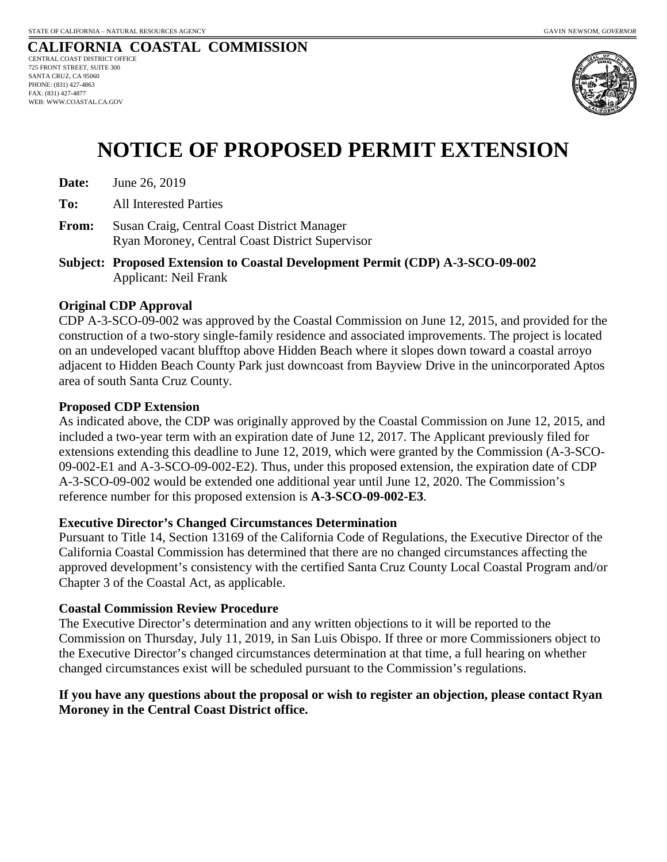

## **NOTICE OF PROPOSED PERMIT EXTENSION**

| Date: | June 26, 2019 |
|-------|---------------|
|-------|---------------|

**To:** All Interested Parties

- **From:** Susan Craig, Central Coast District Manager Ryan Moroney, Central Coast District Supervisor
- **Subject: Proposed Extension to Coastal Development Permit (CDP) A-3-SCO-09-002**  Applicant: Neil Frank

## **Original CDP Approval**

CDP A-3-SCO-09-002 was approved by the Coastal Commission on June 12, 2015, and provided for the construction of a two-story single-family residence and associated improvements. The project is located on an undeveloped vacant blufftop above Hidden Beach where it slopes down toward a coastal arroyo adjacent to Hidden Beach County Park just downcoast from Bayview Drive in the unincorporated Aptos area of south Santa Cruz County.

## **Proposed CDP Extension**

As indicated above, the CDP was originally approved by the Coastal Commission on June 12, 2015, and included a two-year term with an expiration date of June 12, 2017. The Applicant previously filed for extensions extending this deadline to June 12, 2019, which were granted by the Commission (A-3-SCO-09-002-E1 and A-3-SCO-09-002-E2). Thus, under this proposed extension, the expiration date of CDP A-3-SCO-09-002 would be extended one additional year until June 12, 2020. The Commission's reference number for this proposed extension is **A-3-SCO-09-002-E3**.

## **Executive Director's Changed Circumstances Determination**

Pursuant to Title 14, Section 13169 of the California Code of Regulations, the Executive Director of the California Coastal Commission has determined that there are no changed circumstances affecting the approved development's consistency with the certified Santa Cruz County Local Coastal Program and/or Chapter 3 of the Coastal Act, as applicable.

### **Coastal Commission Review Procedure**

The Executive Director's determination and any written objections to it will be reported to the Commission on Thursday, July 11, 2019, in San Luis Obispo. If three or more Commissioners object to the Executive Director's changed circumstances determination at that time, a full hearing on whether changed circumstances exist will be scheduled pursuant to the Commission's regulations.

## **If you have any questions about the proposal or wish to register an objection, please contact Ryan Moroney in the Central Coast District office.**